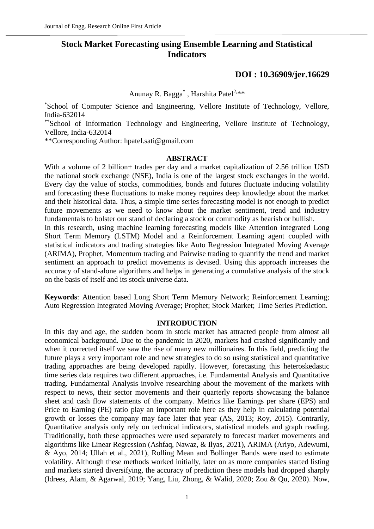# **Stock Market Forecasting using Ensemble Learning and Statistical Indicators**

# **[DOI : 10.36909/jer.16629](https://doi.org/10.36909/jer.16629)**

Anunay R. Bagga<sup>\*</sup>, Harshita Patel<sup>2,\*\*</sup>

\*School of Computer Science and Engineering, Vellore Institute of Technology, Vellore, India-632014

\*\*School of Information Technology and Engineering, Vellore Institute of Technology, Vellore, India-632014

\*\*Corresponding Author: hpatel.sati@gmail.com

## **ABSTRACT**

With a volume of 2 billion+ trades per day and a market capitalization of 2.56 trillion USD the national stock exchange (NSE), India is one of the largest stock exchanges in the world. Every day the value of stocks, commodities, bonds and futures fluctuate inducing volatility and forecasting these fluctuations to make money requires deep knowledge about the market and their historical data. Thus, a simple time series forecasting model is not enough to predict future movements as we need to know about the market sentiment, trend and industry fundamentals to bolster our stand of declaring a stock or commodity as bearish or bullish. In this research, using machine learning forecasting models like Attention integrated Long Short Term Memory (LSTM) Model and a Reinforcement Learning agent coupled with statistical indicators and trading strategies like Auto Regression Integrated Moving Average (ARIMA), Prophet, Momentum trading and Pairwise trading to quantify the trend and market sentiment an approach to predict movements is devised. Using this approach increases the accuracy of stand-alone algorithms and helps in generating a cumulative analysis of the stock on the basis of itself and its stock universe data.

**Keywords**: Attention based Long Short Term Memory Network; Reinforcement Learning; Auto Regression Integrated Moving Average; Prophet; Stock Market; Time Series Prediction.

## **INTRODUCTION**

In this day and age, the sudden boom in stock market has attracted people from almost all economical background. Due to the pandemic in 2020, markets had crashed significantly and when it corrected itself we saw the rise of many new millionaires. In this field, predicting the future plays a very important role and new strategies to do so using statistical and quantitative trading approaches are being developed rapidly. However, forecasting this heteroskedastic time series data requires two different approaches, i.e. Fundamental Analysis and Quantitative trading. Fundamental Analysis involve researching about the movement of the markets with respect to news, their sector movements and their quarterly reports showcasing the balance sheet and cash flow statements of the company. Metrics like Earnings per share (EPS) and Price to Earning (PE) ratio play an important role here as they help in calculating potential growth or losses the company may face later that year (AS, 2013; Roy, 2015). Contrarily, Quantitative analysis only rely on technical indicators, statistical models and graph reading. Traditionally, both these approaches were used separately to forecast market movements and algorithms like Linear Regression (Ashfaq, Nawaz, & Ilyas, 2021), ARIMA (Ariyo, Adewumi, & Ayo, 2014; Ullah et al., 2021), Rolling Mean and Bollinger Bands were used to estimate volatility. Although these methods worked initially, later on as more companies started listing and markets started diversifying, the accuracy of prediction these models had dropped sharply (Idrees, Alam, & Agarwal, 2019; Yang, Liu, Zhong, & Walid, 2020; Zou & Qu, 2020). Now,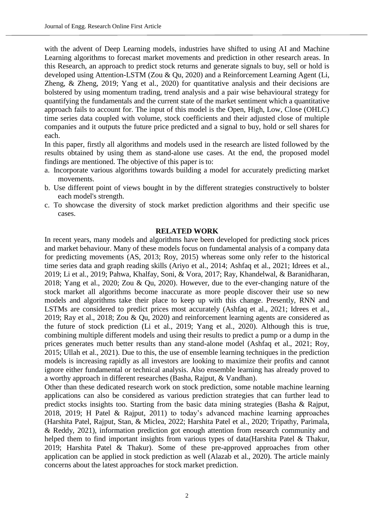with the advent of Deep Learning models, industries have shifted to using AI and Machine Learning algorithms to forecast market movements and prediction in other research areas. In this Research, an approach to predict stock returns and generate signals to buy, sell or hold is developed using Attention-LSTM (Zou & Qu, 2020) and a Reinforcement Learning Agent (Li, Zheng, & Zheng, 2019; Yang et al., 2020) for quantitative analysis and their decisions are bolstered by using momentum trading, trend analysis and a pair wise behavioural strategy for quantifying the fundamentals and the current state of the market sentiment which a quantitative approach fails to account for. The input of this model is the Open, High, Low, Close (OHLC) time series data coupled with volume, stock coefficients and their adjusted close of multiple companies and it outputs the future price predicted and a signal to buy, hold or sell shares for each.

In this paper, firstly all algorithms and models used in the research are listed followed by the results obtained by using them as stand-alone use cases. At the end, the proposed model findings are mentioned. The objective of this paper is to:

- a. Incorporate various algorithms towards building a model for accurately predicting market movements.
- b. Use different point of views bought in by the different strategies constructively to bolster each model's strength.
- c. To showcase the diversity of stock market prediction algorithms and their specific use cases.

# **RELATED WORK**

In recent years, many models and algorithms have been developed for predicting stock prices and market behaviour. Many of these models focus on fundamental analysis of a company data for predicting movements (AS, 2013; Roy, 2015) whereas some only refer to the historical time series data and graph reading skills (Ariyo et al., 2014; Ashfaq et al., 2021; Idrees et al., 2019; Li et al., 2019; Pahwa, Khalfay, Soni, & Vora, 2017; Ray, Khandelwal, & Baranidharan, 2018; Yang et al., 2020; Zou & Qu, 2020). However, due to the ever-changing nature of the stock market all algorithms become inaccurate as more people discover their use so new models and algorithms take their place to keep up with this change. Presently, RNN and LSTMs are considered to predict prices most accurately (Ashfaq et al., 2021; Idrees et al., 2019; Ray et al., 2018; Zou & Qu, 2020) and reinforcement learning agents are considered as the future of stock prediction (Li et al., 2019; Yang et al., 2020). Although this is true, combining multiple different models and using their results to predict a pump or a dump in the prices generates much better results than any stand-alone model (Ashfaq et al., 2021; Roy, 2015; Ullah et al., 2021). Due to this, the use of ensemble learning techniques in the prediction models is increasing rapidly as all investors are looking to maximize their profits and cannot ignore either fundamental or technical analysis. Also ensemble learning has already proved to a worthy approach in different researches (Basha, Rajput, & Vandhan).

Other than these dedicated research work on stock prediction, some notable machine learning applications can also be considered as various prediction strategies that can further lead to predict stocks insights too. Starting from the basic data mining strategies (Basha & Rajput, 2018, 2019; H Patel & Rajput, 2011) to today's advanced machine learning approaches (Harshita Patel, Rajput, Stan, & Miclea, 2022; Harshita Patel et al., 2020; Tripathy, Parimala, & Reddy, 2021), information prediction got enough attention from research community and helped them to find important insights from various types of data(Harshita Patel & Thakur, 2019; Harshita Patel & Thakur). Some of these pre-approved approaches from other application can be applied in stock prediction as well (Alazab et al., 2020). The article mainly concerns about the latest approaches for stock market prediction.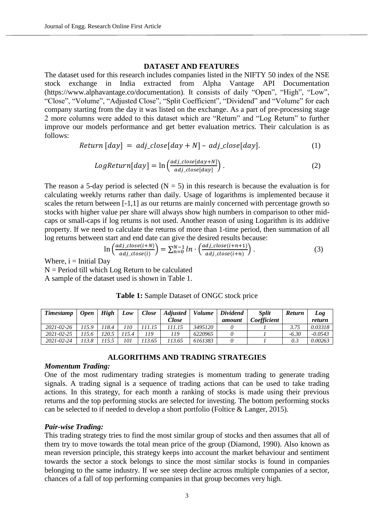# **DATASET AND FEATURES**

The dataset used for this research includes companies listed in the NIFTY 50 index of the NSE stock exchange in India extracted from Alpha Vantage API Documentation (https://www.alphavantage.co/documentation). It consists of daily "Open", "High", "Low", "Close", "Volume", "Adjusted Close", "Split Coefficient", "Dividend" and "Volume" for each company starting from the day it was listed on the exchange. As a part of pre-processing stage 2 more columns were added to this dataset which are "Return" and "Log Return" to further improve our models performance and get better evaluation metrics. Their calculation is as follows:

$$
Return [day] = adj\_close[day + N] - adj\_close[day]. \tag{1}
$$

$$
LogReturn[day] = \ln\left(\frac{adj\_close[day+N]}{adj\_close[day]}\right). \tag{2}
$$

The reason a 5-day period is selected  $(N = 5)$  in this research is because the evaluation is for calculating weekly returns rather than daily. Usage of logarithms is implemented because it scales the return between [-1,1] as our returns are mainly concerned with percentage growth so stocks with higher value per share will always show high numbers in comparison to other midcaps or small-caps if log returns is not used. Another reason of using Logarithm is its additive property. If we need to calculate the returns of more than 1-time period, then summation of all log returns between start and end date can give the desired results because:

$$
\ln\left(\frac{adj\_close(i+N)}{adj\_close(i)}\right) = \sum_{n=0}^{N-1} ln \cdot \left(\frac{adj\_close(i+n+1)}{adj\_close(i+n)}\right).
$$
 (3)

Where,  $i =$  Initial Day

 $N =$  Period till which Log Return to be calculated

A sample of the dataset used is shown in Table 1.

# **Table 1:** Sample Dataset of ONGC stock price

| <b>Timestamp</b> | <b>Open</b> | <b>High</b> | Low        | Close | <b>Adjusted</b> | <i>Volume</i> | <b>Dividend</b> | <b>Split</b> | <b>Return</b> | Log       |
|------------------|-------------|-------------|------------|-------|-----------------|---------------|-----------------|--------------|---------------|-----------|
|                  |             |             |            |       | <i>Close</i>    |               | amount          | Coefficient  |               | return    |
| $2021 - 02 - 26$ | 115.9       | 118.4       | $110^{-1}$ |       | 111.15          | 3495120       |                 |              |               | 0.03318   |
| $2021 - 02 - 25$ |             | 120.5       | 115.4      | 119   | 119             | 6220965       |                 |              | $-6.30$       | $-0.0543$ |
| 2021-02-24       | 13.8        | 115.5       | 101        | 13.65 | '13.65          | 6161383       |                 |              |               | 0.00263   |

## **ALGORITHMS AND TRADING STRATEGIES**

#### *Momentum Trading:*

One of the most rudimentary trading strategies is momentum trading to generate trading signals. A trading signal is a sequence of trading actions that can be used to take trading actions. In this strategy, for each month a ranking of stocks is made using their previous returns and the top performing stocks are selected for investing. The bottom performing stocks can be selected to if needed to develop a short portfolio (Foltice & Langer, 2015).

#### *Pair-wise Trading:*

This trading strategy tries to find the most similar group of stocks and then assumes that all of them try to move towards the total mean price of the group (Diamond, 1990). Also known as mean reversion principle, this strategy keeps into account the market behaviour and sentiment towards the sector a stock belongs to since the most similar stocks is found in companies belonging to the same industry. If we see steep decline across multiple companies of a sector, chances of a fall of top performing companies in that group becomes very high.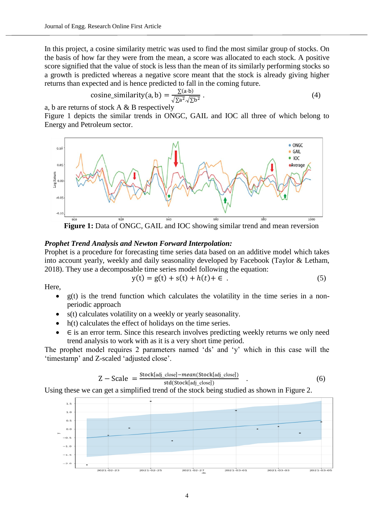In this project, a cosine similarity metric was used to find the most similar group of stocks. On the basis of how far they were from the mean, a score was allocated to each stock. A positive score signified that the value of stock is less than the mean of its similarly performing stocks so a growth is predicted whereas a negative score meant that the stock is already giving higher returns than expected and is hence predicted to fall in the coming future.

cosine\_similarity(a, b) = 
$$
\frac{\sum (a \cdot b)}{\sqrt{\sum a^2} \cdot \sqrt{\sum b^2}}
$$
 (4)

a, b are returns of stock A & B respectively

Figure 1 depicts the similar trends in ONGC, GAIL and IOC all three of which belong to Energy and Petroleum sector.



**Figure 1:** Data of ONGC, GAIL and IOC showing similar trend and mean reversion

# *Prophet Trend Analysis and Newton Forward Interpolation:*

Prophet is a procedure for forecasting time series data based on an additive model which takes into account yearly, weekly and daily seasonality developed by Facebook (Taylor & Letham, 2018). They use a decomposable time series model following the equation:

$$
y(t) = g(t) + s(t) + h(t) + \epsilon .
$$
 (5)

Here,

- $\bullet$  g(t) is the trend function which calculates the volatility in the time series in a nonperiodic approach
- s(t) calculates volatility on a weekly or yearly seasonality.
- $h(t)$  calculates the effect of holidays on the time series.
- $\bullet$   $\in$  is an error term. Since this research involves predicting weekly returns we only need trend analysis to work with as it is a very short time period.

The prophet model requires 2 parameters named 'ds' and 'y' which in this case will the 'timestamp' and Z-scaled 'adjusted close'.

$$
Z - Scale = \frac{Stock[adj\_close] - mean(Srock[adj\_close])}{std(Stok[adj\_close])}
$$
 (6)

Using these we can get a simplified trend of the stock being studied as shown in Figure 2.

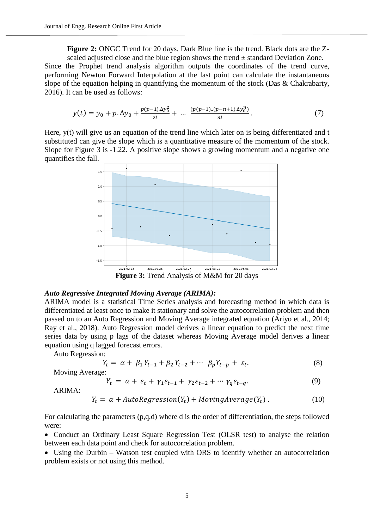**Figure 2:** ONGC Trend for 20 days. Dark Blue line is the trend. Black dots are the Zscaled adjusted close and the blue region shows the trend  $\pm$  standard Deviation Zone.

Since the Prophet trend analysis algorithm outputs the coordinates of the trend curve, performing Newton Forward Interpolation at the last point can calculate the instantaneous slope of the equation helping in quantifying the momentum of the stock (Das & Chakrabarty, 2016). It can be used as follows:

$$
y(t) = y_0 + p \cdot \Delta y_0 + \frac{p(p-1)\Delta y_0^2}{2!} + \dots \frac{(p(p-1)\Delta (p-n+1)\Delta y_0^n)}{n!}.
$$
 (7)

Here, y(t) will give us an equation of the trend line which later on is being differentiated and t substituted can give the slope which is a quantitative measure of the momentum of the stock. Slope for Figure 3 is -1.22. A positive slope shows a growing momentum and a negative one quantifies the fall.



*Auto Regressive Integrated Moving Average (ARIMA):* ARIMA model is a statistical Time Series analysis and forecasting method in which data is differentiated at least once to make it stationary and solve the autocorrelation problem and then passed on to an Auto Regression and Moving Average integrated equation (Ariyo et al., 2014; Ray et al., 2018). Auto Regression model derives a linear equation to predict the next time series data by using p lags of the dataset whereas Moving Average model derives a linear equation using q lagged forecast errors.

Auto Regression:

$$
Y_t = \alpha + \beta_1 Y_{t-1} + \beta_2 Y_{t-2} + \cdots \ \beta_p Y_{t-p} + \varepsilon_t. \tag{8}
$$

Moving Average:

$$
Y_t = \alpha + \varepsilon_t + \gamma_1 \varepsilon_{t-1} + \gamma_2 \varepsilon_{t-2} + \cdots \gamma_q \varepsilon_{t-q}.
$$
\n
$$
(9)
$$

ARIMA:

$$
Y_t = \alpha + AutoRegression(Y_t) + MovingAverage(Y_t) . \qquad (10)
$$

For calculating the parameters (p,q,d) where d is the order of differentiation, the steps followed were:

 Conduct an Ordinary Least Square Regression Test (OLSR test) to analyse the relation between each data point and check for autocorrelation problem.

• Using the Durbin – Watson test coupled with ORS to identify whether an autocorrelation problem exists or not using this method.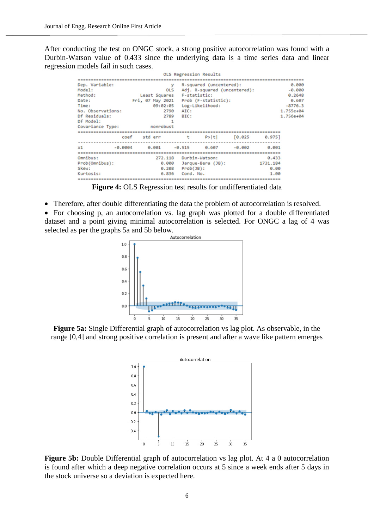After conducting the test on ONGC stock, a strong positive autocorrelation was found with a Durbin-Watson value of 0.433 since the underlying data is a time series data and linear regression models fail in such cases.

|                   |               | OLS Regression Results                  |              |           |  |
|-------------------|---------------|-----------------------------------------|--------------|-----------|--|
|                   |               |                                         |              |           |  |
| Dep. Variable:    | v             | R-squared (uncentered):                 |              | 0.000     |  |
| Model:            | OLS           | Adj. R-squared (uncentered):            |              | $-0.000$  |  |
| Method:           | Least Squares | F-statistic:                            |              | 0.2648    |  |
| Date:             |               | Fri, 07 May 2021    Prob (F-statistic): |              | 0.607     |  |
| Time:             | 09:02:05      | Log-Likelihood:                         |              | $-8776.3$ |  |
| No. Observations: | 2798          | AIC:                                    |              | 1.755e+04 |  |
| Df Residuals:     | 2789          | BIC:                                    |              | 1.756e+04 |  |
| Df Model:         | 1             |                                         |              |           |  |
| Covariance Type:  | nonrobust     |                                         |              |           |  |
|                   |               |                                         |              |           |  |
|                   | coef stderr   | t                                       | P> t  [0.025 | 0.9751    |  |
|                   |               |                                         |              |           |  |
| x1<br>$-0.0004$   | 0.001         | $-0.515$<br>0.607                       | $-0.002$     | 0.001     |  |
|                   |               |                                         |              |           |  |
| Omnibus:          | 272.118       | Durbin-Watson:                          |              | 0.433     |  |
| Prob(Omnibus):    | 0.000         | Jarque-Bera (JB):                       |              | 1731.184  |  |
| Skew:             | 0.208         | $Prob(JB)$ :                            |              | 0.00      |  |
| Kurtosis:         | 6.836         | Cond. No.                               |              | 1.00      |  |
|                   |               |                                         |              |           |  |

**Figure 4:** OLS Regression test results for undifferentiated data

Therefore, after double differentiating the data the problem of autocorrelation is resolved.

 For choosing p, an autocorrelation vs. lag graph was plotted for a double differentiated dataset and a point giving minimal autocorrelation is selected. For ONGC a lag of 4 was selected as per the graphs 5a and 5b below.



**Figure 5a:** Single Differential graph of autocorrelation vs lag plot. As observable, in the range [0,4] and strong positive correlation is present and after a wave like pattern emerges



**Figure 5b:** Double Differential graph of autocorrelation vs lag plot. At 4 a 0 autocorrelation is found after which a deep negative correlation occurs at 5 since a week ends after 5 days in the stock universe so a deviation is expected here.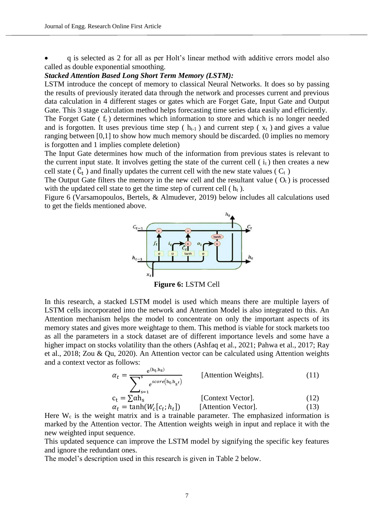q is selected as 2 for all as per Holt's linear method with additive errors model also called as double exponential smoothing.

## *Stacked Attention Based Long Short Term Memory (LSTM):*

LSTM introduce the concept of memory to classical Neural Networks. It does so by passing the results of previously iterated data through the network and processes current and previous data calculation in 4 different stages or gates which are Forget Gate, Input Gate and Output Gate. This 3 stage calculation method helps forecasting time series data easily and efficiently.

The Forget Gate  $(f_t)$  determines which information to store and which is no longer needed and is forgotten. It uses previous time step ( $h_{t-1}$ ) and current step ( $x_t$ ) and gives a value ranging between [0,1] to show how much memory should be discarded. (0 implies no memory is forgotten and 1 implies complete deletion)

The Input Gate determines how much of the information from previous states is relevant to the current input state. It involves getting the state of the current cell  $(i<sub>t</sub>)$  then creates a new cell state ( $\overline{C}_t$ ) and finally updates the current cell with the new state values ( $C_t$ )

The Output Gate filters the memory in the new cell and the resultant value ( $O_t$ ) is processed with the updated cell state to get the time step of current cell  $(h_t)$ .

Figure 6 (Varsamopoulos, Bertels, & Almudever, 2019) below includes all calculations used to get the fields mentioned above.



**Figure 6:** LSTM Cell

In this research, a stacked LSTM model is used which means there are multiple layers of LSTM cells incorporated into the network and Attention Model is also integrated to this. An Attention mechanism helps the model to concentrate on only the important aspects of its memory states and gives more weightage to them. This method is viable for stock markets too as all the parameters in a stock dataset are of different importance levels and some have a higher impact on stocks volatility than the others (Ashfaq et al., 2021; Pahwa et al., 2017; Ray et al., 2018; Zou & Qu, 2020). An Attention vector can be calculated using Attention weights and a context vector as follows:

$$
\alpha_{t} = \frac{e^{(h_{t}, h_{s})}}{\sum_{s=1}^{s} e^{score(h_{t}, h_{s'})}}
$$
 [Attention Weights]. (11)  

$$
c_{t} = \sum \alpha h_{s}
$$
 [Context Vector]. (12)

$$
\alpha_t = \tanh(W_c[c_t; h_t])
$$
 [Attention Vector]. (13)

Here  $W_c$  is the weight matrix and is a trainable parameter. The emphasized information is marked by the Attention vector. The Attention weights weigh in input and replace it with the new weighted input sequence.

This updated sequence can improve the LSTM model by signifying the specific key features and ignore the redundant ones.

The model's description used in this research is given in Table 2 below.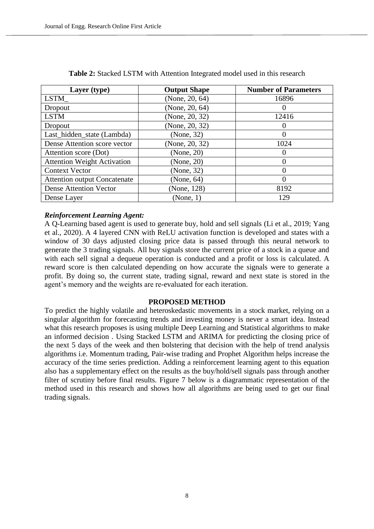| Layer (type)                        | <b>Output Shape</b> | <b>Number of Parameters</b> |
|-------------------------------------|---------------------|-----------------------------|
| LSTM_                               | (None, 20, 64)      | 16896                       |
| Dropout                             | (None, $20, 64$ )   |                             |
| <b>LSTM</b>                         | (None, 20, 32)      | 12416                       |
| Dropout                             | (None, 20, 32)      | 0                           |
| Last_hidden_state (Lambda)          | (None, 32)          | 0                           |
| Dense Attention score vector        | (None, 20, 32)      | 1024                        |
| Attention score (Dot)               | (None, 20)          | 0                           |
| <b>Attention Weight Activation</b>  | (None, 20)          | 0                           |
| <b>Context Vector</b>               | (None, 32)          | 0                           |
| <b>Attention output Concatenate</b> | (None, 64)          | 0                           |
| <b>Dense Attention Vector</b>       | (None, 128)         | 8192                        |
| Dense Layer                         | (None, 1)           | 129                         |

**Table 2:** Stacked LSTM with Attention Integrated model used in this research

# *Reinforcement Learning Agent:*

A Q-Learning based agent is used to generate buy, hold and sell signals (Li et al., 2019; Yang et al., 2020). A 4 layered CNN with ReLU activation function is developed and states with a window of 30 days adjusted closing price data is passed through this neural network to generate the 3 trading signals. All buy signals store the current price of a stock in a queue and with each sell signal a dequeue operation is conducted and a profit or loss is calculated. A reward score is then calculated depending on how accurate the signals were to generate a profit. By doing so, the current state, trading signal, reward and next state is stored in the agent's memory and the weights are re-evaluated for each iteration.

## **PROPOSED METHOD**

To predict the highly volatile and heteroskedastic movements in a stock market, relying on a singular algorithm for forecasting trends and investing money is never a smart idea. Instead what this research proposes is using multiple Deep Learning and Statistical algorithms to make an informed decision . Using Stacked LSTM and ARIMA for predicting the closing price of the next 5 days of the week and then bolstering that decision with the help of trend analysis algorithms i.e. Momentum trading, Pair-wise trading and Prophet Algorithm helps increase the accuracy of the time series prediction. Adding a reinforcement learning agent to this equation also has a supplementary effect on the results as the buy/hold/sell signals pass through another filter of scrutiny before final results. Figure 7 below is a diagrammatic representation of the method used in this research and shows how all algorithms are being used to get our final trading signals.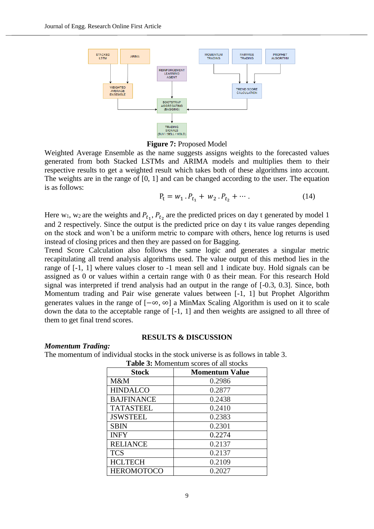

**Figure 7:** Proposed Model

Weighted Average Ensemble as the name suggests assigns weights to the forecasted values generated from both Stacked LSTMs and ARIMA models and multiplies them to their respective results to get a weighted result which takes both of these algorithms into account. The weights are in the range of [0, 1] and can be changed according to the user. The equation is as follows:

$$
P_t = w_1 \cdot P_{t_1} + w_2 \cdot P_{t_2} + \cdots \tag{14}
$$

Here  $w_1$ ,  $w_2$  are the weights and  $P_{t_1}$ ,  $P_{t_2}$  are the predicted prices on day t generated by model 1 and 2 respectively. Since the output is the predicted price on day t its value ranges depending on the stock and won't be a uniform metric to compare with others, hence log returns is used instead of closing prices and then they are passed on for Bagging.

Trend Score Calculation also follows the same logic and generates a singular metric recapitulating all trend analysis algorithms used. The value output of this method lies in the range of [-1, 1] where values closer to -1 mean sell and 1 indicate buy. Hold signals can be assigned as 0 or values within a certain range with 0 as their mean. For this research Hold signal was interpreted if trend analysis had an output in the range of [-0.3, 0.3]. Since, both Momentum trading and Pair wise generate values between [-1, 1] but Prophet Algorithm generates values in the range of [−∞, ∞] a MinMax Scaling Algorithm is used on it to scale down the data to the acceptable range of [-1, 1] and then weights are assigned to all three of them to get final trend scores.

## **RESULTS & DISCUSSION**

*Momentum Trading:*

The momentum of individual stocks in the stock universe is as follows in table 3. **Table 3:** Momentum scores of all stocks

| <b>Stock</b>      | <b>Momentum Value</b> |  |  |
|-------------------|-----------------------|--|--|
| M&M               | 0.2986                |  |  |
| <b>HINDALCO</b>   | 0.2877                |  |  |
| <b>BAJFINANCE</b> | 0.2438                |  |  |
| <b>TATASTEEL</b>  | 0.2410                |  |  |
| <b>JSWSTEEL</b>   | 0.2383                |  |  |
| <b>SBIN</b>       | 0.2301                |  |  |
| <b>INFY</b>       | 0.2274                |  |  |
| <b>RELIANCE</b>   | 0.2137                |  |  |
| <b>TCS</b>        | 0.2137                |  |  |
| <b>HCLTECH</b>    | 0.2109                |  |  |
| <b>HEROMOTOCO</b> | 0.2027                |  |  |

9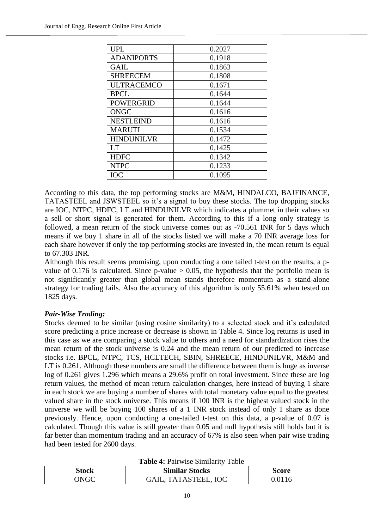| <b>UPL</b>        | 0.2027 |
|-------------------|--------|
| <b>ADANIPORTS</b> | 0.1918 |
| <b>GAIL</b>       | 0.1863 |
| <b>SHREECEM</b>   | 0.1808 |
| <b>ULTRACEMCO</b> | 0.1671 |
| <b>BPCL</b>       | 0.1644 |
| <b>POWERGRID</b>  | 0.1644 |
| <b>ONGC</b>       | 0.1616 |
| <b>NESTLEIND</b>  | 0.1616 |
| <b>MARUTI</b>     | 0.1534 |
| <b>HINDUNILVR</b> | 0.1472 |
| <b>LT</b>         | 0.1425 |
| <b>HDFC</b>       | 0.1342 |
| <b>NTPC</b>       | 0.1233 |
| ЮC                | 0.1095 |

According to this data, the top performing stocks are M&M, HINDALCO, BAJFINANCE, TATASTEEL and JSWSTEEL so it's a signal to buy these stocks. The top dropping stocks are IOC, NTPC, HDFC, LT and HINDUNILVR which indicates a plummet in their values so a sell or short signal is generated for them. According to this if a long only strategy is followed, a mean return of the stock universe comes out as -70.561 INR for 5 days which means if we buy 1 share in all of the stocks listed we will make a 70 INR average loss for each share however if only the top performing stocks are invested in, the mean return is equal to 67.303 INR.

Although this result seems promising, upon conducting a one tailed t-test on the results, a pvalue of 0.176 is calculated. Since  $p$ -value  $> 0.05$ , the hypothesis that the portfolio mean is not significantly greater than global mean stands therefore momentum as a stand-alone strategy for trading fails. Also the accuracy of this algorithm is only 55.61% when tested on 1825 days.

# *Pair-Wise Trading:*

Stocks deemed to be similar (using cosine similarity) to a selected stock and it's calculated score predicting a price increase or decrease is shown in Table 4. Since log returns is used in this case as we are comparing a stock value to others and a need for standardization rises the mean return of the stock universe is 0.24 and the mean return of our predicted to increase stocks i.e. BPCL, NTPC, TCS, HCLTECH, SBIN, SHREECE, HINDUNILVR, M&M and LT is 0.261. Although these numbers are small the difference between them is huge as inverse log of 0.261 gives 1.296 which means a 29.6% profit on total investment. Since these are log return values, the method of mean return calculation changes, here instead of buying 1 share in each stock we are buying a number of shares with total monetary value equal to the greatest valued share in the stock universe. This means if 100 INR is the highest valued stock in the universe we will be buying 100 shares of a 1 INR stock instead of only 1 share as done previously. Hence, upon conducting a one-tailed t-test on this data, a p-value of 0.07 is calculated. Though this value is still greater than 0.05 and null hypothesis still holds but it is far better than momentum trading and an accuracy of 67% is also seen when pair wise trading had been tested for 2600 days.

**Table 4:** Pairwise Similarity Table

| Tuble is that who building tuble |                       |        |  |  |  |
|----------------------------------|-----------------------|--------|--|--|--|
| Stock                            | <b>Similar Stocks</b> | Score  |  |  |  |
| <b>INGC</b>                      | GAIL, TATASTEEL, IOC  | 0.0116 |  |  |  |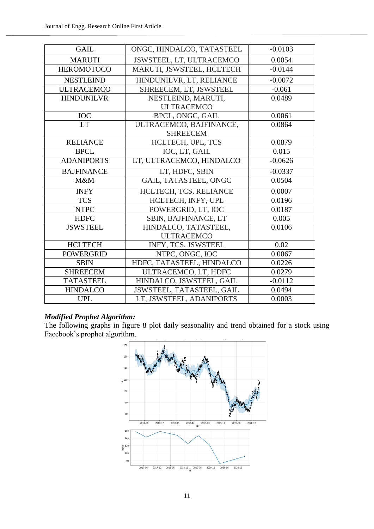| <b>GAIL</b>       | ONGC, HINDALCO, TATASTEEL | $-0.0103$ |
|-------------------|---------------------------|-----------|
| <b>MARUTI</b>     | JSWSTEEL, LT, ULTRACEMCO  | 0.0054    |
| <b>HEROMOTOCO</b> | MARUTI, JSWSTEEL, HCLTECH | $-0.0144$ |
| <b>NESTLEIND</b>  | HINDUNILVR, LT, RELIANCE  | $-0.0072$ |
| <b>ULTRACEMCO</b> | SHREECEM, LT, JSWSTEEL    | $-0.061$  |
| <b>HINDUNILVR</b> | NESTLEIND, MARUTI,        | 0.0489    |
|                   | <b>ULTRACEMCO</b>         |           |
| <b>IOC</b>        | BPCL, ONGC, GAIL          | 0.0061    |
| <b>LT</b>         | ULTRACEMCO, BAJFINANCE,   | 0.0864    |
|                   | <b>SHREECEM</b>           |           |
| <b>RELIANCE</b>   | HCLTECH, UPL, TCS         | 0.0879    |
| <b>BPCL</b>       | IOC, LT, GAIL             | 0.015     |
| <b>ADANIPORTS</b> | LT, ULTRACEMCO, HINDALCO  | $-0.0626$ |
| <b>BAJFINANCE</b> | LT, HDFC, SBIN            | $-0.0337$ |
| M&M               | GAIL, TATASTEEL, ONGC     | 0.0504    |
| <b>INFY</b>       | HCLTECH, TCS, RELIANCE    | 0.0007    |
| <b>TCS</b>        | HCLTECH, INFY, UPL        | 0.0196    |
| <b>NTPC</b>       | POWERGRID, LT, IOC        | 0.0187    |
| <b>HDFC</b>       | SBIN, BAJFINANCE, LT      | 0.005     |
| <b>JSWSTEEL</b>   | HINDALCO, TATASTEEL,      | 0.0106    |
|                   | <b>ULTRACEMCO</b>         |           |
| <b>HCLTECH</b>    | INFY, TCS, JSWSTEEL       | 0.02      |
| <b>POWERGRID</b>  | NTPC, ONGC, IOC           | 0.0067    |
| <b>SBIN</b>       | HDFC, TATASTEEL, HINDALCO | 0.0226    |
| <b>SHREECEM</b>   | ULTRACEMCO, LT, HDFC      | 0.0279    |
| <b>TATASTEEL</b>  | HINDALCO, JSWSTEEL, GAIL  | $-0.0112$ |
| <b>HINDALCO</b>   | JSWSTEEL, TATASTEEL, GAIL | 0.0494    |
| <b>UPL</b>        | LT, JSWSTEEL, ADANIPORTS  | 0.0003    |

# *Modified Prophet Algorithm:*

The following graphs in figure 8 plot daily seasonality and trend obtained for a stock using Facebook's prophet algorithm.

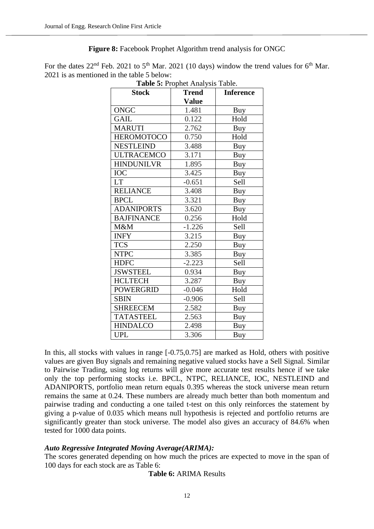# **Figure 8:** Facebook Prophet Algorithm trend analysis for ONGC

For the dates  $22<sup>nd</sup>$  Feb. 2021 to 5<sup>th</sup> Mar. 2021 (10 days) window the trend values for 6<sup>th</sup> Mar. 2021 is as mentioned in the table 5 below:

| <b>Table 5:</b> Prophet Analysis Table.<br><b>Trend</b><br><b>Stock</b><br><b>Inference</b> |              |            |  |
|---------------------------------------------------------------------------------------------|--------------|------------|--|
|                                                                                             | <b>Value</b> |            |  |
| <b>ONGC</b>                                                                                 | 1.481        | Buy        |  |
| <b>GAIL</b>                                                                                 | 0.122        | Hold       |  |
| <b>MARUTI</b>                                                                               | 2.762        | Buy        |  |
| <b>HEROMOTOCO</b>                                                                           | 0.750        | Hold       |  |
| <b>NESTLEIND</b>                                                                            | 3.488        | Buy        |  |
| <b>ULTRACEMCO</b>                                                                           | 3.171        | Buy        |  |
| <b>HINDUNILVR</b>                                                                           | 1.895        | <b>Buy</b> |  |
| <b>IOC</b>                                                                                  | 3.425        | Buy        |  |
| <b>LT</b>                                                                                   | $-0.651$     | Sell       |  |
| <b>RELIANCE</b>                                                                             | 3.408        | Buy        |  |
| <b>BPCL</b>                                                                                 | 3.321        | Buy        |  |
| <b>ADANIPORTS</b>                                                                           | 3.620        | Buy        |  |
| <b>BAJFINANCE</b>                                                                           | 0.256        | Hold       |  |
| M&M                                                                                         | $-1.226$     | Sell       |  |
| <b>INFY</b>                                                                                 | 3.215        | Buy        |  |
| <b>TCS</b>                                                                                  | 2.250        | Buy        |  |
| <b>NTPC</b>                                                                                 | 3.385        | <b>Buy</b> |  |
| <b>HDFC</b>                                                                                 | $-2.223$     | Sell       |  |
| <b>JSWSTEEL</b>                                                                             | 0.934        | Buy        |  |
| <b>HCLTECH</b>                                                                              | 3.287        | <b>Buy</b> |  |
| <b>POWERGRID</b>                                                                            | $-0.046$     | Hold       |  |
| <b>SBIN</b>                                                                                 | $-0.906$     | Sell       |  |
| <b>SHREECEM</b>                                                                             | 2.582        | Buy        |  |
| <b>TATASTEEL</b>                                                                            | 2.563        | Buy        |  |
| <b>HINDALCO</b>                                                                             | 2.498        | Buy        |  |
| <b>UPL</b>                                                                                  | 3.306        | Buy        |  |

**Table 5:** Prophet Analysis Table.

In this, all stocks with values in range  $[-0.75, 0.75]$  are marked as Hold, others with positive values are given Buy signals and remaining negative valued stocks have a Sell Signal. Similar to Pairwise Trading, using log returns will give more accurate test results hence if we take only the top performing stocks i.e. BPCL, NTPC, RELIANCE, IOC, NESTLEIND and ADANIPORTS, portfolio mean return equals 0.395 whereas the stock universe mean return remains the same at 0.24. These numbers are already much better than both momentum and pairwise trading and conducting a one tailed t-test on this only reinforces the statement by giving a p-value of 0.035 which means null hypothesis is rejected and portfolio returns are significantly greater than stock universe. The model also gives an accuracy of 84.6% when tested for 1000 data points.

# *Auto Regressive Integrated Moving Average(ARIMA):*

The scores generated depending on how much the prices are expected to move in the span of 100 days for each stock are as Table 6:

# **Table 6:** ARIMA Results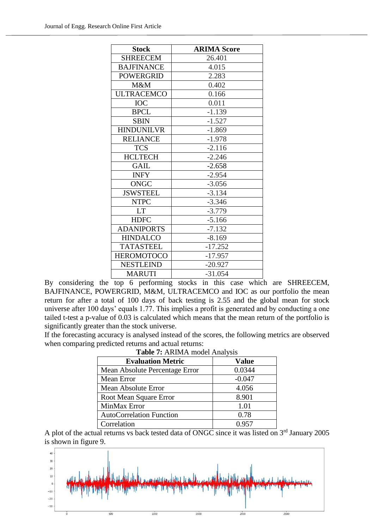| <b>Stock</b>      | <b>ARIMA Score</b> |
|-------------------|--------------------|
| <b>SHREECEM</b>   | 26.401             |
| <b>BAJFINANCE</b> | 4.015              |
| <b>POWERGRID</b>  | 2.283              |
| M&M               | 0.402              |
| <b>ULTRACEMCO</b> | 0.166              |
| <b>IOC</b>        | 0.011              |
| <b>BPCL</b>       | $-1.139$           |
| <b>SBIN</b>       | $-1.527$           |
| <b>HINDUNILVR</b> | $-1.869$           |
| <b>RELIANCE</b>   | $-1.978$           |
| <b>TCS</b>        | $-2.116$           |
| <b>HCLTECH</b>    | $-2.246$           |
| <b>GAIL</b>       | $-2.658$           |
| <b>INFY</b>       | $-2.954$           |
| <b>ONGC</b>       | $-3.056$           |
| <b>JSWSTEEL</b>   | $-3.134$           |
| <b>NTPC</b>       | $-3.346$           |
| <b>LT</b>         | $-3.779$           |
| <b>HDFC</b>       | $-5.166$           |
| <b>ADANIPORTS</b> | $-7.132$           |
| <b>HINDALCO</b>   | $-8.169$           |
| <b>TATASTEEL</b>  | $-17.252$          |
| <b>HEROMOTOCO</b> | $-17.957$          |
| <b>NESTLEIND</b>  | $-20.927$          |
| <b>MARUTI</b>     | $-31.054$          |

By considering the top 6 performing stocks in this case which are SHREECEM, BAJFINANCE, POWERGRID, M&M, ULTRACEMCO and IOC as our portfolio the mean return for after a total of 100 days of back testing is 2.55 and the global mean for stock universe after 100 days' equals 1.77. This implies a profit is generated and by conducting a one tailed t-test a p-value of 0.03 is calculated which means that the mean return of the portfolio is significantly greater than the stock universe.

If the forecasting accuracy is analysed instead of the scores, the following metrics are observed when comparing predicted returns and actual returns:

| <b>Evaluation Metric</b>        | <b>Value</b> |
|---------------------------------|--------------|
| Mean Absolute Percentage Error  | 0.0344       |
| Mean Error                      | $-0.047$     |
| Mean Absolute Error             | 4.056        |
| Root Mean Square Error          | 8.901        |
| MinMax Error                    | 1.01         |
| <b>AutoCorrelation Function</b> | 0.78         |
| Correlation                     | 0.957        |

**Table 7:** ARIMA model Analysis

A plot of the actual returns vs back tested data of ONGC since it was listed on 3<sup>rd</sup> January 2005 is shown in figure 9.

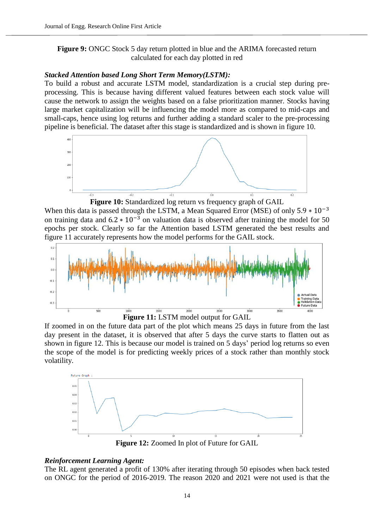# **Figure 9:** ONGC Stock 5 day return plotted in blue and the ARIMA forecasted return calculated for each day plotted in red

# *Stacked Attention based Long Short Term Memory(LSTM):*

To build a robust and accurate LSTM model, standardization is a crucial step during preprocessing. This is because having different valued features between each stock value will cause the network to assign the weights based on a false prioritization manner. Stocks having large market capitalization will be influencing the model more as compared to mid-caps and small-caps, hence using log returns and further adding a standard scaler to the pre-processing pipeline is beneficial. The dataset after this stage is standardized and is shown in figure 10.



**Figure 10:** Standardized log return vs frequency graph of GAIL When this data is passed through the LSTM, a Mean Squared Error (MSE) of only  $5.9 * 10^{-3}$ on training data and  $6.2 \times 10^{-3}$  on valuation data is observed after training the model for 50 epochs per stock. Clearly so far the Attention based LSTM generated the best results and figure 11 accurately represents how the model performs for the GAIL stock.



**Figure 11:** LSTM model output for GAIL

If zoomed in on the future data part of the plot which means 25 days in future from the last day present in the dataset, it is observed that after 5 days the curve starts to flatten out as shown in figure 12. This is because our model is trained on 5 days' period log returns so even the scope of the model is for predicting weekly prices of a stock rather than monthly stock volatility.



**Figure 12:** Zoomed In plot of Future for GAIL

# *Reinforcement Learning Agent:*

The RL agent generated a profit of 130% after iterating through 50 episodes when back tested on ONGC for the period of 2016-2019. The reason 2020 and 2021 were not used is that the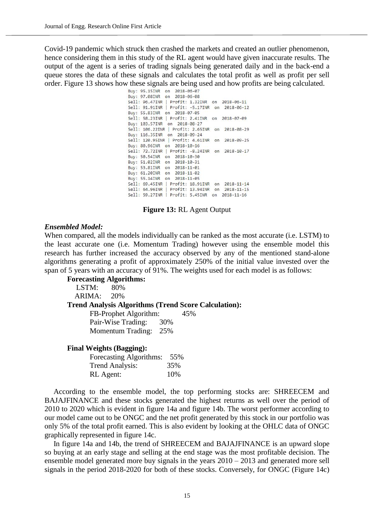Covid-19 pandemic which struck then crashed the markets and created an outlier phenomenon, hence considering them in this study of the RL agent would have given inaccurate results. The output of the agent is a series of trading signals being generated daily and in the back-end a queue stores the data of these signals and calculates the total profit as well as profit per sell order. Figure 13 shows how these signals are being used and how profits are being calculated.<br>
Buy: 95.15INR on 2018-06-07

Buy: 97.08INR on 2018-06-08 Sell: 96.47INR | Profit: 1.32INR on 2018-06-11 Sell: 91.91INR | Profit: -5.17INR on 2018-06-12 Buy: 55.83INR on 2018-07-05 Sell: 58.23INR | Profit: 2.41INR on 2018-07-09 Buy: 103.57INR on 2018-08-27 Sell: 106.22INR | Profit: 2.65INR on 2018-08-29 Buy: 116.35INR on 2018-09-24<br>Sell: 120.95INR | Profit: 4.61INR on 2018-09-25 Buy: 80.96INR on 2018-10-16<br>Sell: 72.72INR | Profit: -8.24INR on 2018-10-17 Buy: 50.54INR on 2018-10-30 Buy: 51.02INR on 2018-10-31 Buy: 53.81INR on 2018-11-01 Buy: 61.20INR on 2018-11-02 Buy: 55.14INR on 2018-11-05 Sell: 69.45INR | Profit: 18.91INR on 2018-11-14 Sell: 64.96INR | Profit: 13.94INR on 2018-11-15 Sell: 59.27INR | Profit: 5.45INR on 2018-11-16

# **Figure 13:** RL Agent Output

## *Ensembled Model:*

When compared, all the models individually can be ranked as the most accurate (i.e. LSTM) to the least accurate one (i.e. Momentum Trading) however using the ensemble model this research has further increased the accuracy observed by any of the mentioned stand-alone algorithms generating a profit of approximately 250% of the initial value invested over the span of 5 years with an accuracy of 91%. The weights used for each model is as follows:

# **Forecasting Algorithms:**

| $LSTM: 80\%$ |                                                             |     |  |
|--------------|-------------------------------------------------------------|-----|--|
| ARIMA: 20%   |                                                             |     |  |
|              | <b>Trend Analysis Algorithms (Trend Score Calculation):</b> |     |  |
|              | FB-Prophet Algorithm:                                       | 45% |  |
|              | Pair-Wise Trading: 30%                                      |     |  |
|              | Momentum Trading: 25%                                       |     |  |
|              |                                                             |     |  |
|              | Final Weights (Ragging):                                    |     |  |

## **Final Weights (Bagging):**

| Forecasting Algorithms: 55% |     |
|-----------------------------|-----|
| Trend Analysis:             | 35% |
| RL Agent:                   | 10% |

According to the ensemble model, the top performing stocks are: SHREECEM and BAJAJFINANCE and these stocks generated the highest returns as well over the period of 2010 to 2020 which is evident in figure 14a and figure 14b. The worst performer according to our model came out to be ONGC and the net profit generated by this stock in our portfolio was only 5% of the total profit earned. This is also evident by looking at the OHLC data of ONGC graphically represented in figure 14c.

In figure 14a and 14b, the trend of SHREECEM and BAJAJFINANCE is an upward slope so buying at an early stage and selling at the end stage was the most profitable decision. The ensemble model generated more buy signals in the years 2010 – 2013 and generated more sell signals in the period 2018-2020 for both of these stocks. Conversely, for ONGC (Figure 14c)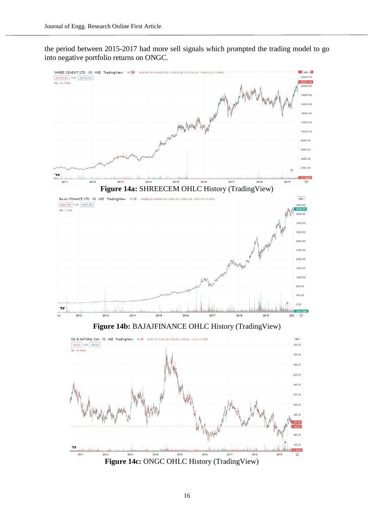the period between 2015-2017 had more sell signals which prompted the trading model to go into negative portfolio returns on ONGC.



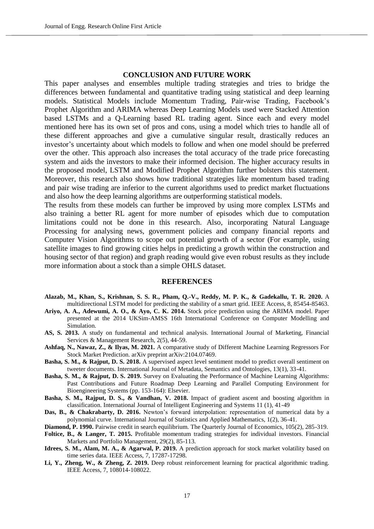## **CONCLUSION AND FUTURE WORK**

This paper analyses and ensembles multiple trading strategies and tries to bridge the differences between fundamental and quantitative trading using statistical and deep learning models. Statistical Models include Momentum Trading, Pair-wise Trading, Facebook's Prophet Algorithm and ARIMA whereas Deep Learning Models used were Stacked Attention based LSTMs and a Q-Learning based RL trading agent. Since each and every model mentioned here has its own set of pros and cons, using a model which tries to handle all of these different approaches and give a cumulative singular result, drastically reduces an investor's uncertainty about which models to follow and when one model should be preferred over the other. This approach also increases the total accuracy of the trade price forecasting system and aids the investors to make their informed decision. The higher accuracy results in the proposed model, LSTM and Modified Prophet Algorithm further bolsters this statement. Moreover, this research also shows how traditional strategies like momentum based trading and pair wise trading are inferior to the current algorithms used to predict market fluctuations and also how the deep learning algorithms are outperforming statistical models.

The results from these models can further be improved by using more complex LSTMs and also training a better RL agent for more number of episodes which due to computation limitations could not be done in this research. Also, incorporating Natural Language Processing for analysing news, government policies and company financial reports and Computer Vision Algorithms to scope out potential growth of a sector (For example, using satellite images to find growing cities helps in predicting a growth within the construction and housing sector of that region) and graph reading would give even robust results as they include more information about a stock than a simple OHLS dataset.

#### **REFERENCES**

- **Alazab, M., Khan, S., Krishnan, S. S. R., Pham, Q.-V., Reddy, M. P. K., & Gadekallu, T. R. 2020.** A multidirectional LSTM model for predicting the stability of a smart grid. IEEE Access, 8, 85454-85463.
- **Ariyo, A. A., Adewumi, A. O., & Ayo, C. K. 2014.** Stock price prediction using the ARIMA model. Paper presented at the 2014 UKSim-AMSS 16th International Conference on Computer Modelling and Simulation.
- **AS, S. 2013.** A study on fundamental and technical analysis. International Journal of Marketing, Financial Services & Management Research, 2(5), 44-59.
- **Ashfaq, N., Nawaz, Z., & Ilyas, M. 2021.** A comparative study of Different Machine Learning Regressors For Stock Market Prediction. arXiv preprint arXiv:2104.07469.
- **Basha, S. M., & Rajput, D. S. 2018.** A supervised aspect level sentiment model to predict overall sentiment on tweeter documents. International Journal of Metadata, Semantics and Ontologies, 13(1), 33-41.
- **Basha, S. M., & Rajput, D. S. 2019.** Survey on Evaluating the Performance of Machine Learning Algorithms: Past Contributions and Future Roadmap Deep Learning and Parallel Computing Environment for Bioengineering Systems (pp. 153-164): Elsevier.
- **Basha, S. M., Rajput, D. S., & Vandhan, V. 2018.** Impact of gradient ascent and boosting algorithm in classification. International Journal of Intelligent Engineering and Systems 11 (1), 41-49
- Das, B., & Chakrabarty, D. 2016. Newton's forward interpolation: representation of numerical data by a polynomial curve. International Journal of Statistics and Applied Mathematics, 1(2), 36-41.
- **Diamond, P. 1990.** Pairwise credit in search equilibrium. The Quarterly Journal of Economics, 105(2), 285-319.
- **Foltice, B., & Langer, T. 2015.** Profitable momentum trading strategies for individual investors. Financial Markets and Portfolio Management, 29(2), 85-113.
- **Idrees, S. M., Alam, M. A., & Agarwal, P. 2019.** A prediction approach for stock market volatility based on time series data. IEEE Access, 7, 17287-17298.
- **Li, Y., Zheng, W., & Zheng, Z. 2019.** Deep robust reinforcement learning for practical algorithmic trading. IEEE Access, 7, 108014-108022.